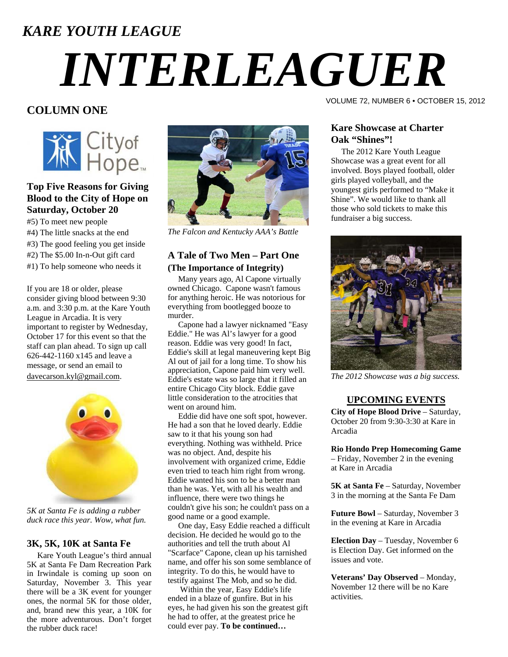### *KARE YOUTH LEAGUE*

# *INTERLEAGUER*

#### **COLUMN ONE**



#### **Top Five Reasons for Giving Blood to the City of Hope on Saturday, October 20**

- #5) To meet new people
- #4) The little snacks at the end
- #3) The good feeling you get inside
- #2) The \$5.00 In-n-Out gift card
- #1) To help someone who needs it

If you are 18 or older, please consider giving blood between 9:30 a.m. and 3:30 p.m. at the Kare Youth League in Arcadia. It is very important to register by Wednesday, October 17 for this event so that the staff can plan ahead. To sign up call 626-442-1160 x145 and leave a message, or send an email to [davecarson.kyl@gmail.com](mailto:davecarson.kyl@gmail.com).



*5K at Santa Fe is adding a rubber duck race this year. Wow, what fun.* 

#### **3K, 5K, 10K at Santa Fe**

 Kare Youth League's third annual 5K at Santa Fe Dam Recreation Park in Irwindale is coming up soon on Saturday, November 3. This year there will be a 3K event for younger ones, the normal 5K for those older, and, brand new this year, a 10K for the more adventurous. Don't forget the rubber duck race!



*The Falcon and Kentucky AAA's Battle* 

#### **A Tale of Two Men – Part One (The Importance of Integrity)**

 Many years ago, Al Capone virtually owned Chicago. Capone wasn't famous for anything heroic. He was notorious for everything from bootlegged booze to murder.

 Capone had a lawyer nicknamed "Easy Eddie." He was Al's lawyer for a good reason. Eddie was very good! In fact, Eddie's skill at legal maneuvering kept Big Al out of jail for a long time. To show his appreciation, Capone paid him very well. Eddie's estate was so large that it filled an entire Chicago City block. Eddie gave little consideration to the atrocities that went on around him.

 Eddie did have one soft spot, however. He had a son that he loved dearly. Eddie saw to it that his young son had everything. Nothing was withheld. Price was no object. And, despite his involvement with organized crime, Eddie even tried to teach him right from wrong. Eddie wanted his son to be a better man than he was. Yet, with all his wealth and influence, there were two things he couldn't give his son; he couldn't pass on a good name or a good example.

 One day, Easy Eddie reached a difficult decision. He decided he would go to the authorities and tell the truth about Al "Scarface" Capone, clean up his tarnished name, and offer his son some semblance of integrity. To do this, he would have to testify against The Mob, and so he did.

 Within the year, Easy Eddie's life ended in a blaze of gunfire. But in his eyes, he had given his son the greatest gift he had to offer, at the greatest price he could ever pay. **To be continued…**

VOLUME 72, NUMBER 6 • OCTOBER 15, 2012

#### **Kare Showcase at Charter Oak "Shines"!**

 The 2012 Kare Youth League Showcase was a great event for all involved. Boys played football, older girls played volleyball, and the youngest girls performed to "Make it Shine". We would like to thank all those who sold tickets to make this fundraiser a big success.



*The 2012 Showcase was a big success.* 

#### **UPCOMING EVENTS**

**City of Hope Blood Drive** – Saturday, October 20 from 9:30-3:30 at Kare in Arcadia

**Rio Hondo Prep Homecoming Game** – Friday, November 2 in the evening at Kare in Arcadia

**5K at Santa Fe** – Saturday, November 3 in the morning at the Santa Fe Dam

**Future Bowl** – Saturday, November 3 in the evening at Kare in Arcadia

**Election Day** – Tuesday, November 6 is Election Day. Get informed on the issues and vote.

**Veterans' Day Observed** – Monday, November 12 there will be no Kare activities.